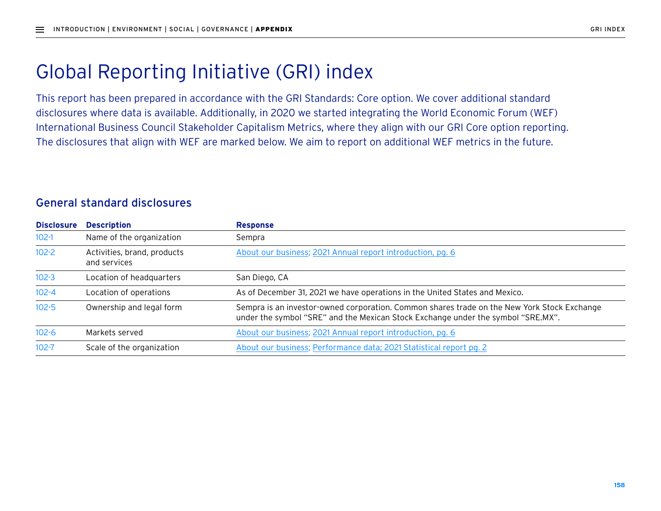## Global Reporting Initiative (GRI) index

This report has been prepared in accordance with the GRI Standards: Core option. We cover additional standard disclosures where data is available. Additionally, in 2020 we started integrating the World Economic Forum (WEF) International Business Council Stakeholder Capitalism Metrics, where they align with our GRI Core option reporting. The disclosures that align with WEF are marked below. We aim to report on additional WEF metrics in the future.

## General standard disclosures

| <b>Disclosure</b> | <b>Description</b>                          | <b>Response</b>                                                                                                                                                                 |
|-------------------|---------------------------------------------|---------------------------------------------------------------------------------------------------------------------------------------------------------------------------------|
| $102 - 1$         | Name of the organization                    | Sempra                                                                                                                                                                          |
| $102 - 2$         | Activities, brand, products<br>and services | About our business; 2021 Annual report introduction, pg. 6                                                                                                                      |
| $102 - 3$         | Location of headquarters                    | San Diego, CA                                                                                                                                                                   |
| $102 - 4$         | Location of operations                      | As of December 31, 2021 we have operations in the United States and Mexico.                                                                                                     |
| $102 - 5$         | Ownership and legal form                    | Sempra is an investor-owned corporation. Common shares trade on the New York Stock Exchange<br>under the symbol "SRE" and the Mexican Stock Exchange under the symbol "SRE.MX". |
| $102 - 6$         | Markets served                              | About our business; 2021 Annual report introduction, pg. 6                                                                                                                      |
| $102 - 7$         | Scale of the organization                   | About our business; Performance data; 2021 Statistical report pg. 2                                                                                                             |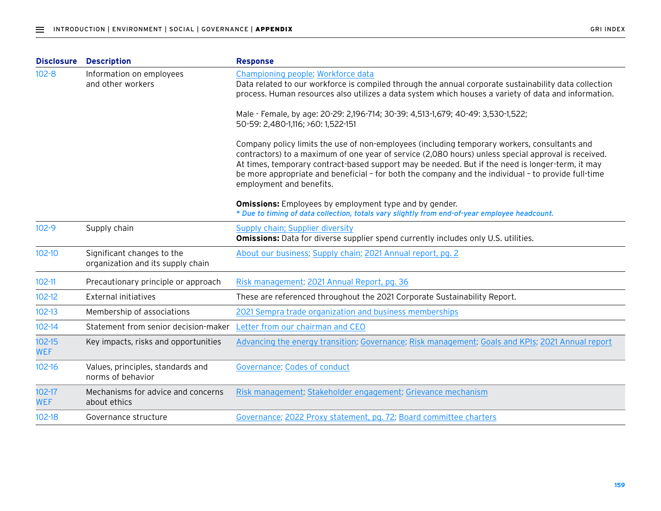| <b>Disclosure</b>        | <b>Description</b>                                              | <b>Response</b>                                                                                                                                                                                                                                                                                                                                                                                                                            |
|--------------------------|-----------------------------------------------------------------|--------------------------------------------------------------------------------------------------------------------------------------------------------------------------------------------------------------------------------------------------------------------------------------------------------------------------------------------------------------------------------------------------------------------------------------------|
| $102 - 8$                | Information on employees<br>and other workers                   | Championing people; Workforce data<br>Data related to our workforce is compiled through the annual corporate sustainability data collection<br>process. Human resources also utilizes a data system which houses a variety of data and information.                                                                                                                                                                                        |
|                          |                                                                 | Male - Female, by age: 20-29: 2,196-714; 30-39: 4,513-1,679; 40-49: 3,530-1,522;<br>50-59: 2,480-1,116; >60: 1,522-151                                                                                                                                                                                                                                                                                                                     |
|                          |                                                                 | Company policy limits the use of non-employees (including temporary workers, consultants and<br>contractors) to a maximum of one year of service (2,080 hours) unless special approval is received.<br>At times, temporary contract-based support may be needed. But if the need is longer-term, it may<br>be more appropriate and beneficial - for both the company and the individual - to provide full-time<br>employment and benefits. |
|                          |                                                                 | <b>Omissions:</b> Employees by employment type and by gender.<br>* Due to timing of data collection, totals vary slightly from end-of-year employee headcount.                                                                                                                                                                                                                                                                             |
| $102 - 9$                | Supply chain                                                    | Supply chain; Supplier diversity<br><b>Omissions:</b> Data for diverse supplier spend currently includes only U.S. utilities.                                                                                                                                                                                                                                                                                                              |
| $102 - 10$               | Significant changes to the<br>organization and its supply chain | About our business; Supply chain; 2021 Annual report, pg. 2                                                                                                                                                                                                                                                                                                                                                                                |
| $102 - 11$               | Precautionary principle or approach                             | Risk management; 2021 Annual Report, pg. 36                                                                                                                                                                                                                                                                                                                                                                                                |
| $102 - 12$               | <b>External initiatives</b>                                     | These are referenced throughout the 2021 Corporate Sustainability Report.                                                                                                                                                                                                                                                                                                                                                                  |
| $102 - 13$               | Membership of associations                                      | 2021 Sempra trade organization and business memberships                                                                                                                                                                                                                                                                                                                                                                                    |
| $102 - 14$               | Statement from senior decision-maker                            | Letter from our chairman and CEO                                                                                                                                                                                                                                                                                                                                                                                                           |
| $102 - 15$<br><b>WEF</b> | Key impacts, risks and opportunities                            | Advancing the energy transition; Governance; Risk management; Goals and KPIs; 2021 Annual report                                                                                                                                                                                                                                                                                                                                           |
| $102 - 16$               | Values, principles, standards and<br>norms of behavior          | Governance; Codes of conduct                                                                                                                                                                                                                                                                                                                                                                                                               |
| $102 - 17$<br><b>WEF</b> | Mechanisms for advice and concerns<br>about ethics              | Risk management; Stakeholder engagement; Grievance mechanism                                                                                                                                                                                                                                                                                                                                                                               |
| $102 - 18$               | Governance structure                                            | Governance; 2022 Proxy statement, pg. 72; Board committee charters                                                                                                                                                                                                                                                                                                                                                                         |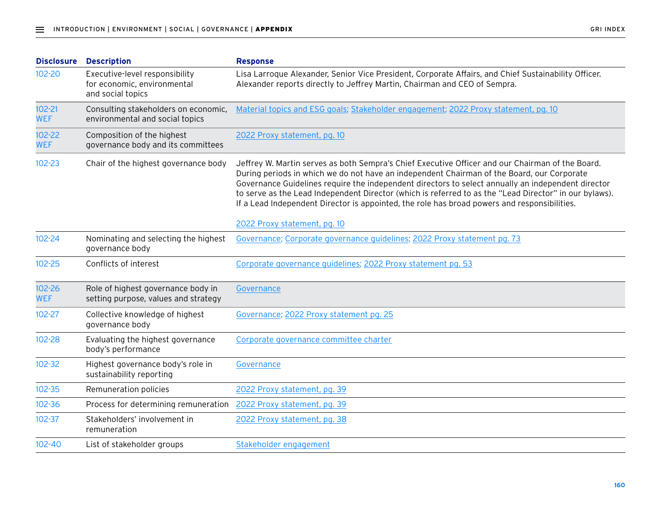| <b>Disclosure</b>        | <b>Description</b>                                                                 | <b>Response</b>                                                                                                                                                                                                                                                                                                                                                                                                                                                                                                                                |
|--------------------------|------------------------------------------------------------------------------------|------------------------------------------------------------------------------------------------------------------------------------------------------------------------------------------------------------------------------------------------------------------------------------------------------------------------------------------------------------------------------------------------------------------------------------------------------------------------------------------------------------------------------------------------|
| 102-20                   | Executive-level responsibility<br>for economic, environmental<br>and social topics | Lisa Larroque Alexander, Senior Vice President, Corporate Affairs, and Chief Sustainability Officer.<br>Alexander reports directly to Jeffrey Martin, Chairman and CEO of Sempra.                                                                                                                                                                                                                                                                                                                                                              |
| $102 - 21$<br><b>WEF</b> | Consulting stakeholders on economic,<br>environmental and social topics            | Material topics and ESG goals; Stakeholder engagement; 2022 Proxy statement, pg. 10                                                                                                                                                                                                                                                                                                                                                                                                                                                            |
| $102 - 22$<br><b>WEF</b> | Composition of the highest<br>governance body and its committees                   | 2022 Proxy statement, pg. 10                                                                                                                                                                                                                                                                                                                                                                                                                                                                                                                   |
| $102 - 23$               | Chair of the highest governance body                                               | Jeffrey W. Martin serves as both Sempra's Chief Executive Officer and our Chairman of the Board.<br>During periods in which we do not have an independent Chairman of the Board, our Corporate<br>Governance Guidelines require the independent directors to select annually an independent director<br>to serve as the Lead Independent Director (which is referred to as the "Lead Director" in our bylaws).<br>If a Lead Independent Director is appointed, the role has broad powers and responsibilities.<br>2022 Proxy statement, pg. 10 |
| 102-24                   | Nominating and selecting the highest<br>governance body                            | Governance; Corporate governance guidelines; 2022 Proxy statement pg. 73                                                                                                                                                                                                                                                                                                                                                                                                                                                                       |
| $102 - 25$               | Conflicts of interest                                                              | Corporate governance guidelines; 2022 Proxy statement pg. 53                                                                                                                                                                                                                                                                                                                                                                                                                                                                                   |
| $102 - 26$<br><b>WEF</b> | Role of highest governance body in<br>setting purpose, values and strategy         | Governance                                                                                                                                                                                                                                                                                                                                                                                                                                                                                                                                     |
| $102 - 27$               | Collective knowledge of highest<br>governance body                                 | Governance; 2022 Proxy statement pg. 25                                                                                                                                                                                                                                                                                                                                                                                                                                                                                                        |
| $102 - 28$               | Evaluating the highest governance<br>body's performance                            | Corporate governance committee charter                                                                                                                                                                                                                                                                                                                                                                                                                                                                                                         |
| $102 - 32$               | Highest governance body's role in<br>sustainability reporting                      | Governance                                                                                                                                                                                                                                                                                                                                                                                                                                                                                                                                     |
| $102 - 35$               | Remuneration policies                                                              | 2022 Proxy statement, pg. 39                                                                                                                                                                                                                                                                                                                                                                                                                                                                                                                   |
| 102-36                   | Process for determining remuneration 2022 Proxy statement, pg. 39                  |                                                                                                                                                                                                                                                                                                                                                                                                                                                                                                                                                |
| $102 - 37$               | Stakeholders' involvement in<br>remuneration                                       | 2022 Proxy statement, pg. 38                                                                                                                                                                                                                                                                                                                                                                                                                                                                                                                   |
| $102 - 40$               | List of stakeholder groups                                                         | Stakeholder engagement                                                                                                                                                                                                                                                                                                                                                                                                                                                                                                                         |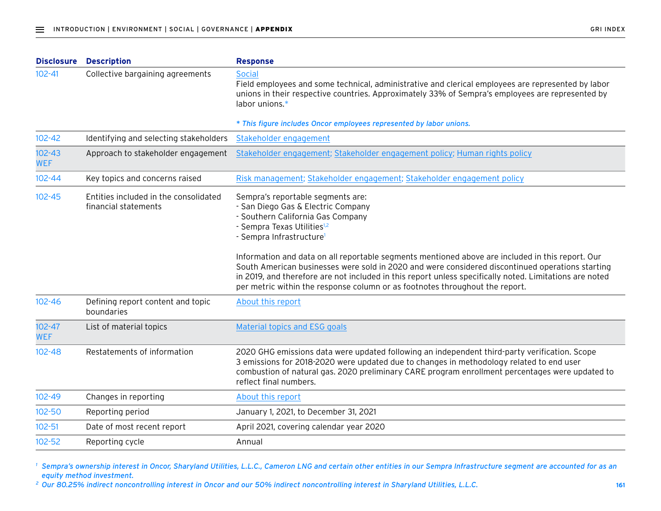| <b>Disclosure</b>        | <b>Description</b>                                            | <b>Response</b>                                                                                                                                                                                                                                                                                                                                                                                                                                                                                                                                                                                    |
|--------------------------|---------------------------------------------------------------|----------------------------------------------------------------------------------------------------------------------------------------------------------------------------------------------------------------------------------------------------------------------------------------------------------------------------------------------------------------------------------------------------------------------------------------------------------------------------------------------------------------------------------------------------------------------------------------------------|
| $102 - 41$               | Collective bargaining agreements                              | <b>Social</b><br>Field employees and some technical, administrative and clerical employees are represented by labor<br>unions in their respective countries. Approximately 33% of Sempra's employees are represented by<br>labor unions.*                                                                                                                                                                                                                                                                                                                                                          |
|                          |                                                               | * This figure includes Oncor employees represented by labor unions.                                                                                                                                                                                                                                                                                                                                                                                                                                                                                                                                |
| $102 - 42$               | Identifying and selecting stakeholders                        | Stakeholder engagement                                                                                                                                                                                                                                                                                                                                                                                                                                                                                                                                                                             |
| $102 - 43$<br><b>WEF</b> | Approach to stakeholder engagement                            | Stakeholder engagement; Stakeholder engagement policy; Human rights policy                                                                                                                                                                                                                                                                                                                                                                                                                                                                                                                         |
| $102 - 44$               | Key topics and concerns raised                                | Risk management; Stakeholder engagement; Stakeholder engagement policy                                                                                                                                                                                                                                                                                                                                                                                                                                                                                                                             |
| $102 - 45$               | Entities included in the consolidated<br>financial statements | Sempra's reportable segments are:<br>- San Diego Gas & Electric Company<br>- Southern California Gas Company<br>- Sempra Texas Utilities <sup>1,2</sup><br>- Sempra Infrastructure <sup>1</sup><br>Information and data on all reportable segments mentioned above are included in this report. Our<br>South American businesses were sold in 2020 and were considered discontinued operations starting<br>in 2019, and therefore are not included in this report unless specifically noted. Limitations are noted<br>per metric within the response column or as footnotes throughout the report. |
| $102 - 46$               | Defining report content and topic<br>boundaries               | About this report                                                                                                                                                                                                                                                                                                                                                                                                                                                                                                                                                                                  |
| $102 - 47$<br><b>WEF</b> | List of material topics                                       | Material topics and ESG goals                                                                                                                                                                                                                                                                                                                                                                                                                                                                                                                                                                      |
| $102 - 48$               | Restatements of information                                   | 2020 GHG emissions data were updated following an independent third-party verification. Scope<br>3 emissions for 2018-2020 were updated due to changes in methodology related to end user<br>combustion of natural gas. 2020 preliminary CARE program enrollment percentages were updated to<br>reflect final numbers.                                                                                                                                                                                                                                                                             |
| $102 - 49$               | Changes in reporting                                          | About this report                                                                                                                                                                                                                                                                                                                                                                                                                                                                                                                                                                                  |
| $102 - 50$               | Reporting period                                              | January 1, 2021, to December 31, 2021                                                                                                                                                                                                                                                                                                                                                                                                                                                                                                                                                              |
| $102 - 51$               | Date of most recent report                                    | April 2021, covering calendar year 2020                                                                                                                                                                                                                                                                                                                                                                                                                                                                                                                                                            |
| $102 - 52$               | Reporting cycle                                               | Annual                                                                                                                                                                                                                                                                                                                                                                                                                                                                                                                                                                                             |
|                          |                                                               |                                                                                                                                                                                                                                                                                                                                                                                                                                                                                                                                                                                                    |

<sup>1</sup> Sempra's ownership interest in Oncor, Sharyland Utilities, L.L.C., Cameron LNG and certain other entities in our Sempra Infrastructure segment are accounted for as an *equity method investment.*

*<sup>2</sup> Our 80.25% indirect noncontrolling interest in Oncor and our 50% indirect noncontrolling interest in Sharyland Utilities, L.L.C.*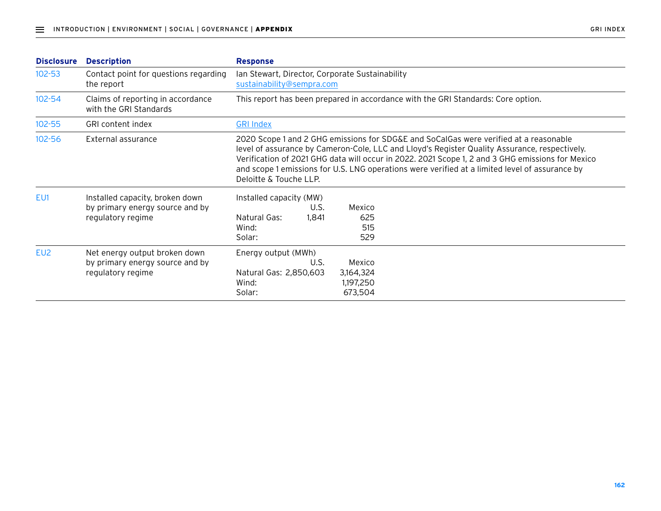| <b>Disclosure</b> | <b>Description</b>                                                                      | <b>Response</b>                                                                                                                                                                                                                                                                                                                                                                                                        |  |  |
|-------------------|-----------------------------------------------------------------------------------------|------------------------------------------------------------------------------------------------------------------------------------------------------------------------------------------------------------------------------------------------------------------------------------------------------------------------------------------------------------------------------------------------------------------------|--|--|
| $102 - 53$        | Contact point for questions regarding<br>the report                                     | Ian Stewart, Director, Corporate Sustainability<br>sustainability@sempra.com                                                                                                                                                                                                                                                                                                                                           |  |  |
| $102 - 54$        | Claims of reporting in accordance<br>with the GRI Standards                             | This report has been prepared in accordance with the GRI Standards: Core option.                                                                                                                                                                                                                                                                                                                                       |  |  |
| $102 - 55$        | GRI content index                                                                       | <b>GRI Index</b>                                                                                                                                                                                                                                                                                                                                                                                                       |  |  |
| $102 - 56$        | External assurance                                                                      | 2020 Scope 1 and 2 GHG emissions for SDG&E and SoCalGas were verified at a reasonable<br>level of assurance by Cameron-Cole, LLC and Lloyd's Register Quality Assurance, respectively.<br>Verification of 2021 GHG data will occur in 2022. 2021 Scope 1, 2 and 3 GHG emissions for Mexico<br>and scope 1 emissions for U.S. LNG operations were verified at a limited level of assurance by<br>Deloitte & Touche LLP. |  |  |
| EU1               | Installed capacity, broken down<br>by primary energy source and by<br>regulatory regime | Installed capacity (MW)<br>Mexico<br>U.S.<br>Natural Gas:<br>625<br>1,841<br>515<br>Wind:<br>529<br>Solar:                                                                                                                                                                                                                                                                                                             |  |  |
| EU <sub>2</sub>   | Net energy output broken down<br>by primary energy source and by<br>regulatory regime   | Energy output (MWh)<br>U.S.<br>Mexico<br>Natural Gas: 2,850,603<br>3,164,324<br>1,197,250<br>Wind:<br>Solar:<br>673,504                                                                                                                                                                                                                                                                                                |  |  |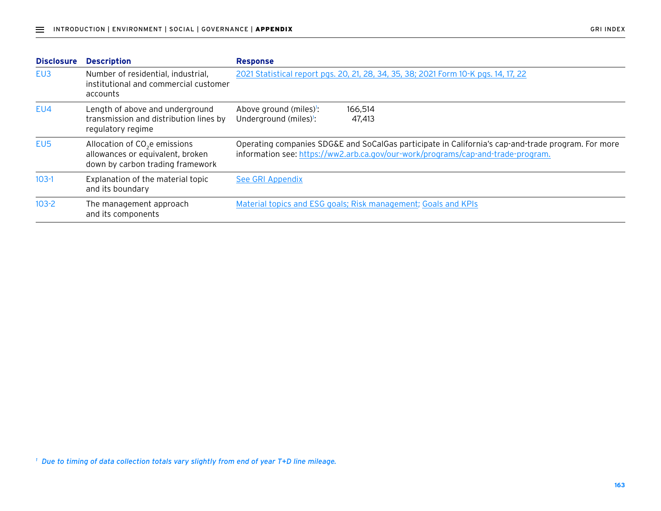| <b>Disclosure</b> | <b>Description</b>                                                                                                | <b>Response</b>                                                                                                                                                                        |
|-------------------|-------------------------------------------------------------------------------------------------------------------|----------------------------------------------------------------------------------------------------------------------------------------------------------------------------------------|
| EU3               | Number of residential, industrial,<br>institutional and commercial customer<br>accounts                           | 2021 Statistical report pgs. 20, 21, 28, 34, 35, 38; 2021 Form 10-K pgs. 14, 17, 22                                                                                                    |
| EU4               | Length of above and underground<br>transmission and distribution lines by<br>regulatory regime                    | Above ground (miles)!:<br>166,514<br>Underground (miles) <sup>1</sup> :<br>47,413                                                                                                      |
| EU <sub>5</sub>   | Allocation of CO <sub>2</sub> e emissions<br>allowances or equivalent, broken<br>down by carbon trading framework | Operating companies SDG&E and SoCalGas participate in California's cap-and-trade program. For more<br>information see: https://ww2.arb.ca.gov/our-work/programs/cap-and-trade-program. |
| $103-1$           | Explanation of the material topic<br>and its boundary                                                             | See GRI Appendix                                                                                                                                                                       |
| $103-2$           | The management approach<br>and its components                                                                     | Material topics and ESG goals; Risk management; Goals and KPIs                                                                                                                         |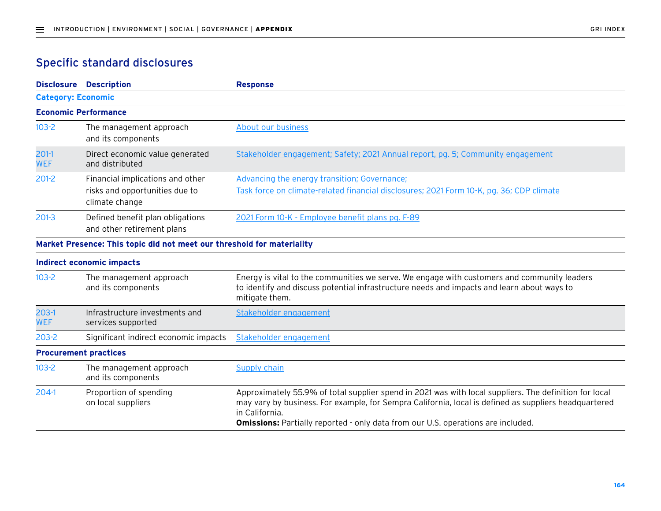## Specific standard disclosures

| <b>Disclosure Description</b>                                          | <b>Response</b>                                                                                                                                                                                                                                                                                                              |
|------------------------------------------------------------------------|------------------------------------------------------------------------------------------------------------------------------------------------------------------------------------------------------------------------------------------------------------------------------------------------------------------------------|
| <b>Category: Economic</b>                                              |                                                                                                                                                                                                                                                                                                                              |
| <b>Economic Performance</b>                                            |                                                                                                                                                                                                                                                                                                                              |
| The management approach<br>and its components                          | About our business                                                                                                                                                                                                                                                                                                           |
| Direct economic value generated<br>and distributed                     | Stakeholder engagement; Safety; 2021 Annual report, pg. 5; Community engagement                                                                                                                                                                                                                                              |
| Financial implications and other                                       | Advancing the energy transition; Governance;                                                                                                                                                                                                                                                                                 |
| risks and opportunities due to<br>climate change                       | Task force on climate-related financial disclosures; 2021 Form 10-K, pg. 36; CDP climate                                                                                                                                                                                                                                     |
| Defined benefit plan obligations<br>and other retirement plans         | 2021 Form 10-K - Employee benefit plans pg. F-89                                                                                                                                                                                                                                                                             |
| Market Presence: This topic did not meet our threshold for materiality |                                                                                                                                                                                                                                                                                                                              |
| Indirect economic impacts                                              |                                                                                                                                                                                                                                                                                                                              |
| The management approach<br>and its components                          | Energy is vital to the communities we serve. We engage with customers and community leaders<br>to identify and discuss potential infrastructure needs and impacts and learn about ways to<br>mitigate them.                                                                                                                  |
| Infrastructure investments and<br>services supported                   | Stakeholder engagement                                                                                                                                                                                                                                                                                                       |
| Significant indirect economic impacts                                  | Stakeholder engagement                                                                                                                                                                                                                                                                                                       |
| <b>Procurement practices</b>                                           |                                                                                                                                                                                                                                                                                                                              |
| The management approach<br>and its components                          | Supply chain                                                                                                                                                                                                                                                                                                                 |
| Proportion of spending<br>on local suppliers                           | Approximately 55.9% of total supplier spend in 2021 was with local suppliers. The definition for local<br>may vary by business. For example, for Sempra California, local is defined as suppliers headquartered<br>in California.<br><b>Omissions:</b> Partially reported - only data from our U.S. operations are included. |
|                                                                        |                                                                                                                                                                                                                                                                                                                              |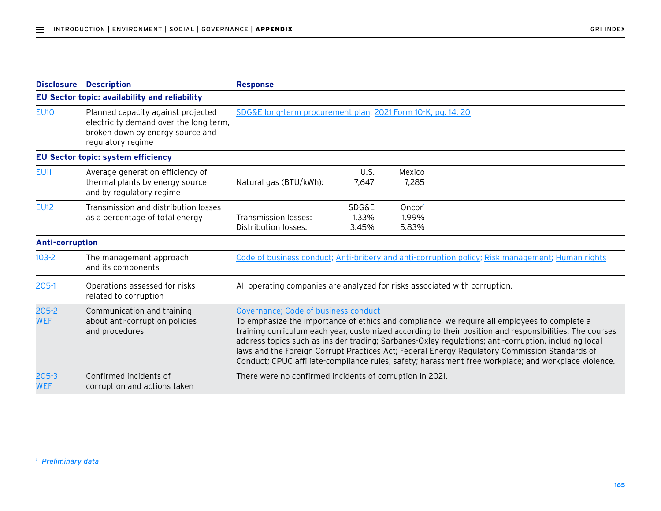| <b>Disclosure</b>       | <b>Description</b>                                                                                                                    | <b>Response</b>                                                                                                                                                                                                                                                                                                                                                                                                                                                                                                                                                  |                                    |                                                                                                  |
|-------------------------|---------------------------------------------------------------------------------------------------------------------------------------|------------------------------------------------------------------------------------------------------------------------------------------------------------------------------------------------------------------------------------------------------------------------------------------------------------------------------------------------------------------------------------------------------------------------------------------------------------------------------------------------------------------------------------------------------------------|------------------------------------|--------------------------------------------------------------------------------------------------|
|                         | EU Sector topic: availability and reliability                                                                                         |                                                                                                                                                                                                                                                                                                                                                                                                                                                                                                                                                                  |                                    |                                                                                                  |
| <b>EU10</b>             | Planned capacity against projected<br>electricity demand over the long term,<br>broken down by energy source and<br>regulatory regime | SDG&E long-term procurement plan; 2021 Form 10-K, pg. 14, 20                                                                                                                                                                                                                                                                                                                                                                                                                                                                                                     |                                    |                                                                                                  |
|                         | EU Sector topic: system efficiency                                                                                                    |                                                                                                                                                                                                                                                                                                                                                                                                                                                                                                                                                                  |                                    |                                                                                                  |
| <b>EU11</b>             | Average generation efficiency of<br>thermal plants by energy source<br>and by regulatory regime                                       | Natural gas (BTU/kWh):                                                                                                                                                                                                                                                                                                                                                                                                                                                                                                                                           | U.S.<br>7,647                      | Mexico<br>7,285                                                                                  |
| <b>EU12</b>             | Transmission and distribution losses<br>as a percentage of total energy                                                               | Transmission losses:<br>Distribution losses:                                                                                                                                                                                                                                                                                                                                                                                                                                                                                                                     | <b>SDG&amp;E</b><br>1.33%<br>3.45% | Oncor <sup>1</sup><br>1.99%<br>5.83%                                                             |
| <b>Anti-corruption</b>  |                                                                                                                                       |                                                                                                                                                                                                                                                                                                                                                                                                                                                                                                                                                                  |                                    |                                                                                                  |
| $103 - 2$               | The management approach<br>and its components                                                                                         |                                                                                                                                                                                                                                                                                                                                                                                                                                                                                                                                                                  |                                    | Code of business conduct; Anti-bribery and anti-corruption policy; Risk management; Human rights |
| $205-1$                 | Operations assessed for risks<br>related to corruption                                                                                |                                                                                                                                                                                                                                                                                                                                                                                                                                                                                                                                                                  |                                    | All operating companies are analyzed for risks associated with corruption.                       |
| $205 - 2$<br><b>WEF</b> | Communication and training<br>about anti-corruption policies<br>and procedures                                                        | Governance; Code of business conduct<br>To emphasize the importance of ethics and compliance, we require all employees to complete a<br>training curriculum each year, customized according to their position and responsibilities. The courses<br>address topics such as insider trading; Sarbanes-Oxley regulations; anti-corruption, including local<br>laws and the Foreign Corrupt Practices Act; Federal Energy Regulatory Commission Standards of<br>Conduct; CPUC affiliate-compliance rules; safety; harassment free workplace; and workplace violence. |                                    |                                                                                                  |
| $205 - 3$<br><b>WEF</b> | Confirmed incidents of<br>corruption and actions taken                                                                                | There were no confirmed incidents of corruption in 2021.                                                                                                                                                                                                                                                                                                                                                                                                                                                                                                         |                                    |                                                                                                  |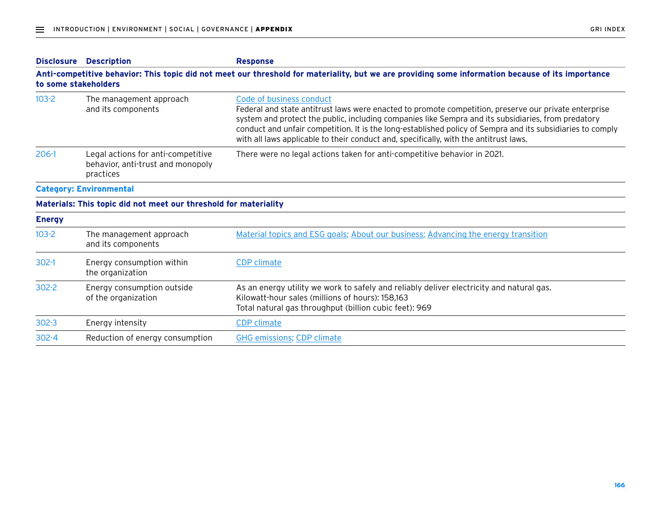| <b>Disclosure</b> | <b>Description</b>                                                                                                                                                        | <b>Response</b>                                                                                                                                                                                                                                                                                                                                                                                                                                 |  |  |
|-------------------|---------------------------------------------------------------------------------------------------------------------------------------------------------------------------|-------------------------------------------------------------------------------------------------------------------------------------------------------------------------------------------------------------------------------------------------------------------------------------------------------------------------------------------------------------------------------------------------------------------------------------------------|--|--|
|                   | Anti-competitive behavior: This topic did not meet our threshold for materiality, but we are providing some information because of its importance<br>to some stakeholders |                                                                                                                                                                                                                                                                                                                                                                                                                                                 |  |  |
| $103 - 2$         | The management approach<br>and its components                                                                                                                             | Code of business conduct<br>Federal and state antitrust laws were enacted to promote competition, preserve our private enterprise<br>system and protect the public, including companies like Sempra and its subsidiaries, from predatory<br>conduct and unfair competition. It is the long-established policy of Sempra and its subsidiaries to comply<br>with all laws applicable to their conduct and, specifically, with the antitrust laws. |  |  |
| $206-1$           | Legal actions for anti-competitive<br>behavior, anti-trust and monopoly<br>practices                                                                                      | There were no legal actions taken for anti-competitive behavior in 2021.                                                                                                                                                                                                                                                                                                                                                                        |  |  |
|                   | <b>Category: Environmental</b>                                                                                                                                            |                                                                                                                                                                                                                                                                                                                                                                                                                                                 |  |  |
|                   | Materials: This topic did not meet our threshold for materiality                                                                                                          |                                                                                                                                                                                                                                                                                                                                                                                                                                                 |  |  |
| <b>Energy</b>     |                                                                                                                                                                           |                                                                                                                                                                                                                                                                                                                                                                                                                                                 |  |  |
| $103 - 2$         | The management approach<br>and its components                                                                                                                             | Material topics and ESG goals; About our business; Advancing the energy transition                                                                                                                                                                                                                                                                                                                                                              |  |  |
| $302-1$           | Energy consumption within<br>the organization                                                                                                                             | <b>CDP</b> climate                                                                                                                                                                                                                                                                                                                                                                                                                              |  |  |
| $302 - 2$         | Energy consumption outside<br>of the organization                                                                                                                         | As an energy utility we work to safely and reliably deliver electricity and natural gas.<br>Kilowatt-hour sales (millions of hours): 158,163<br>Total natural gas throughput (billion cubic feet): 969                                                                                                                                                                                                                                          |  |  |
| $302 - 3$         | Energy intensity                                                                                                                                                          | <b>CDP</b> climate                                                                                                                                                                                                                                                                                                                                                                                                                              |  |  |
| $302 - 4$         | Reduction of energy consumption                                                                                                                                           | <b>GHG emissions; CDP climate</b>                                                                                                                                                                                                                                                                                                                                                                                                               |  |  |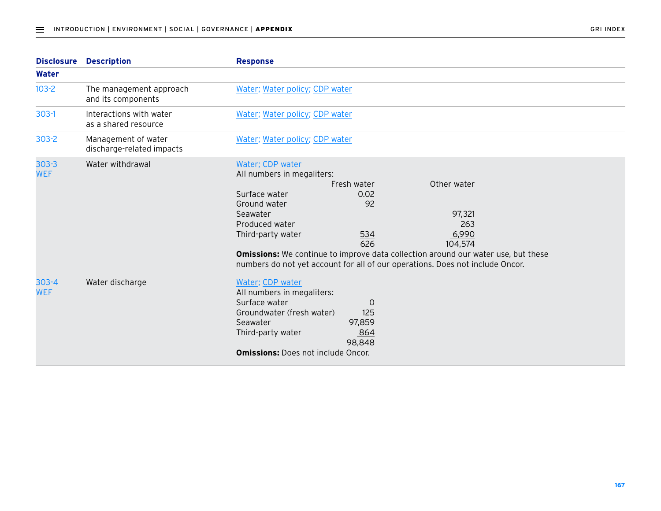| <b>Disclosure</b>       | <b>Description</b>                               | <b>Response</b>                                                                                                                                                                                                                                                                                                                                                                                                |
|-------------------------|--------------------------------------------------|----------------------------------------------------------------------------------------------------------------------------------------------------------------------------------------------------------------------------------------------------------------------------------------------------------------------------------------------------------------------------------------------------------------|
| Water                   |                                                  |                                                                                                                                                                                                                                                                                                                                                                                                                |
| $103 - 2$               | The management approach<br>and its components    | Water; Water policy; CDP water                                                                                                                                                                                                                                                                                                                                                                                 |
| $303-1$                 | Interactions with water<br>as a shared resource  | Water; Water policy; CDP water                                                                                                                                                                                                                                                                                                                                                                                 |
| $303 - 2$               | Management of water<br>discharge-related impacts | Water; Water policy; CDP water                                                                                                                                                                                                                                                                                                                                                                                 |
| $303 - 3$<br><b>WEF</b> | Water withdrawal                                 | Water; CDP water<br>All numbers in megaliters:<br>Other water<br>Fresh water<br>Surface water<br>0.02<br>92<br>Ground water<br>97,321<br>Seawater<br>Produced water<br>263<br>Third-party water<br>534<br>6,990<br>626<br>104,574<br><b>Omissions:</b> We continue to improve data collection around our water use, but these<br>numbers do not yet account for all of our operations. Does not include Oncor. |
| $303 - 4$<br><b>WEF</b> | Water discharge                                  | Water; CDP water<br>All numbers in megaliters:<br>Surface water<br>0<br>125<br>Groundwater (fresh water)<br>Seawater<br>97,859<br>Third-party water<br>864<br>98,848<br><b>Omissions: Does not include Oncor.</b>                                                                                                                                                                                              |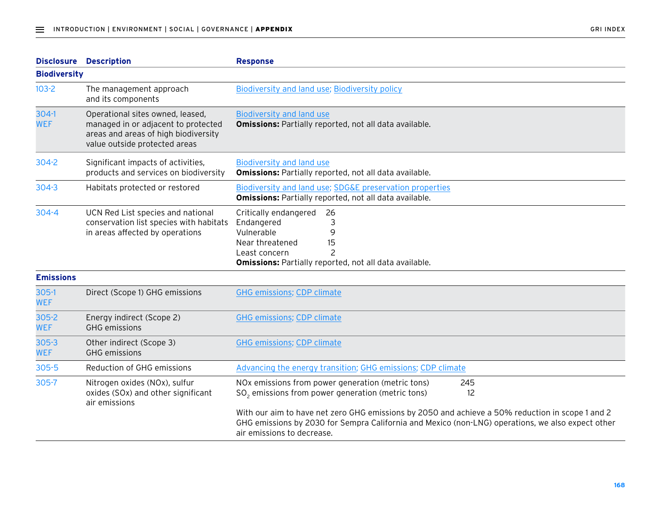|                         | <b>Disclosure Description</b>                                                                                                                    | <b>Response</b>                                                                                                                                                                                                                     |
|-------------------------|--------------------------------------------------------------------------------------------------------------------------------------------------|-------------------------------------------------------------------------------------------------------------------------------------------------------------------------------------------------------------------------------------|
| <b>Biodiversity</b>     |                                                                                                                                                  |                                                                                                                                                                                                                                     |
| $103 - 2$               | The management approach<br>and its components                                                                                                    | Biodiversity and land use; Biodiversity policy                                                                                                                                                                                      |
| $304-1$<br><b>WEF</b>   | Operational sites owned, leased,<br>managed in or adjacent to protected<br>areas and areas of high biodiversity<br>value outside protected areas | <b>Biodiversity and land use</b><br><b>Omissions: Partially reported, not all data available.</b>                                                                                                                                   |
| 304-2                   | Significant impacts of activities,<br>products and services on biodiversity                                                                      | <b>Biodiversity and land use</b><br>Omissions: Partially reported, not all data available.                                                                                                                                          |
| $304 - 3$               | Habitats protected or restored                                                                                                                   | Biodiversity and land use; SDG&E preservation properties<br><b>Omissions: Partially reported, not all data available.</b>                                                                                                           |
| $304 - 4$               | UCN Red List species and national<br>conservation list species with habitats<br>in areas affected by operations                                  | Critically endangered<br>26<br>Endangered<br>3<br>Vulnerable<br>9<br>Near threatened<br>15<br>$\overline{\phantom{0}}$<br>Least concern<br><b>Omissions: Partially reported, not all data available.</b>                            |
| <b>Emissions</b>        |                                                                                                                                                  |                                                                                                                                                                                                                                     |
| $305-1$<br><b>WEF</b>   | Direct (Scope 1) GHG emissions                                                                                                                   | <b>GHG emissions; CDP climate</b>                                                                                                                                                                                                   |
| $305 - 2$<br><b>WEF</b> | Energy indirect (Scope 2)<br><b>GHG</b> emissions                                                                                                | <b>GHG emissions; CDP climate</b>                                                                                                                                                                                                   |
| $305 - 3$<br><b>WEF</b> | Other indirect (Scope 3)<br><b>GHG</b> emissions                                                                                                 | <b>GHG emissions; CDP climate</b>                                                                                                                                                                                                   |
| $305 - 5$               | Reduction of GHG emissions                                                                                                                       | Advancing the energy transition; GHG emissions; CDP climate                                                                                                                                                                         |
| 305-7                   | Nitrogen oxides (NOx), sulfur<br>oxides (SOx) and other significant<br>air emissions                                                             | NOx emissions from power generation (metric tons)<br>245<br>$SO2$ emissions from power generation (metric tons)<br>12                                                                                                               |
|                         |                                                                                                                                                  | With our aim to have net zero GHG emissions by 2050 and achieve a 50% reduction in scope 1 and 2<br>GHG emissions by 2030 for Sempra California and Mexico (non-LNG) operations, we also expect other<br>air emissions to decrease. |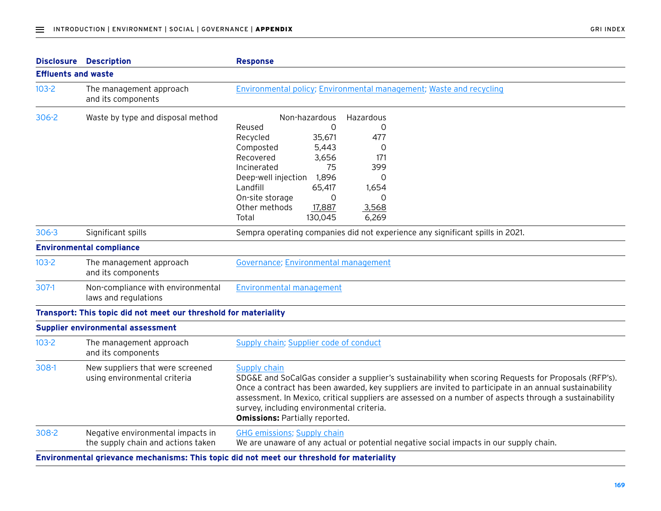|                            | <b>Disclosure Description</b>                                                                                        | <b>Response</b>                                                                                                                                                                                                                                                                                                                                                                                                                |  |
|----------------------------|----------------------------------------------------------------------------------------------------------------------|--------------------------------------------------------------------------------------------------------------------------------------------------------------------------------------------------------------------------------------------------------------------------------------------------------------------------------------------------------------------------------------------------------------------------------|--|
| <b>Effluents and waste</b> |                                                                                                                      |                                                                                                                                                                                                                                                                                                                                                                                                                                |  |
| $103-2$                    | The management approach<br>Environmental policy; Environmental management; Waste and recycling<br>and its components |                                                                                                                                                                                                                                                                                                                                                                                                                                |  |
| $306 - 2$                  | Waste by type and disposal method                                                                                    | Non-hazardous<br>Hazardous                                                                                                                                                                                                                                                                                                                                                                                                     |  |
|                            |                                                                                                                      | Reused<br>0<br>0                                                                                                                                                                                                                                                                                                                                                                                                               |  |
|                            |                                                                                                                      | Recycled<br>35,671<br>477                                                                                                                                                                                                                                                                                                                                                                                                      |  |
|                            |                                                                                                                      | 5,443<br>Composted<br>0                                                                                                                                                                                                                                                                                                                                                                                                        |  |
|                            |                                                                                                                      | Recovered<br>3,656<br>171                                                                                                                                                                                                                                                                                                                                                                                                      |  |
|                            |                                                                                                                      | 75<br>399<br>Incinerated                                                                                                                                                                                                                                                                                                                                                                                                       |  |
|                            |                                                                                                                      | 1,896<br>Deep-well injection<br>0                                                                                                                                                                                                                                                                                                                                                                                              |  |
|                            |                                                                                                                      | Landfill<br>1,654<br>65,417                                                                                                                                                                                                                                                                                                                                                                                                    |  |
|                            |                                                                                                                      | On-site storage<br>0<br>O                                                                                                                                                                                                                                                                                                                                                                                                      |  |
|                            |                                                                                                                      | Other methods<br>17,887<br>3,568                                                                                                                                                                                                                                                                                                                                                                                               |  |
|                            |                                                                                                                      | 130,045<br>6,269<br>Total                                                                                                                                                                                                                                                                                                                                                                                                      |  |
| $306 - 3$                  | Significant spills                                                                                                   | Sempra operating companies did not experience any significant spills in 2021.                                                                                                                                                                                                                                                                                                                                                  |  |
|                            | <b>Environmental compliance</b>                                                                                      |                                                                                                                                                                                                                                                                                                                                                                                                                                |  |
| $103-2$                    | The management approach<br>and its components                                                                        | Governance; Environmental management                                                                                                                                                                                                                                                                                                                                                                                           |  |
| $307-1$                    | Non-compliance with environmental<br>laws and regulations                                                            | <b>Environmental management</b>                                                                                                                                                                                                                                                                                                                                                                                                |  |
|                            | Transport: This topic did not meet our threshold for materiality                                                     |                                                                                                                                                                                                                                                                                                                                                                                                                                |  |
|                            | <b>Supplier environmental assessment</b>                                                                             |                                                                                                                                                                                                                                                                                                                                                                                                                                |  |
| $103-2$                    | The management approach<br>and its components                                                                        | Supply chain; Supplier code of conduct                                                                                                                                                                                                                                                                                                                                                                                         |  |
| 308-1                      | New suppliers that were screened<br>using environmental criteria                                                     | Supply chain<br>SDG&E and SoCalGas consider a supplier's sustainability when scoring Requests for Proposals (RFP's).<br>Once a contract has been awarded, key suppliers are invited to participate in an annual sustainability<br>assessment. In Mexico, critical suppliers are assessed on a number of aspects through a sustainability<br>survey, including environmental criteria.<br><b>Omissions: Partially reported.</b> |  |
| $308-2$                    | Negative environmental impacts in<br>the supply chain and actions taken                                              | <b>GHG emissions; Supply chain</b><br>We are unaware of any actual or potential negative social impacts in our supply chain.                                                                                                                                                                                                                                                                                                   |  |
|                            |                                                                                                                      | Environmental grievance mechanisms: This topic did not meet our threshold for materiality                                                                                                                                                                                                                                                                                                                                      |  |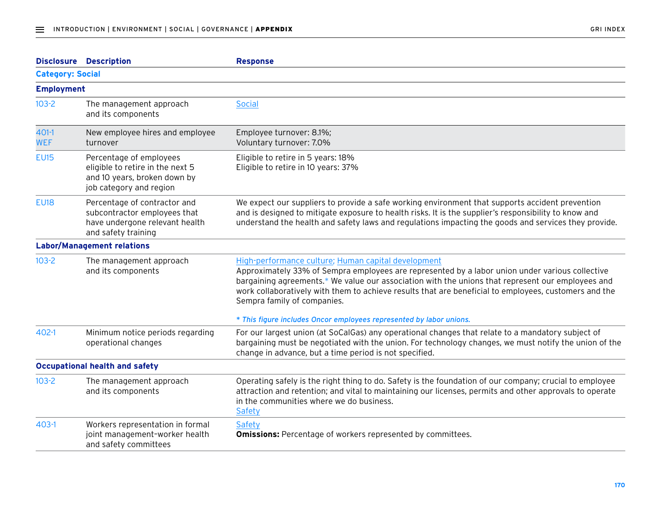|                         | <b>Disclosure Description</b>                                                                                          | <b>Response</b>                                                                                                                                                                                                                                                                                                                                                                                     |  |
|-------------------------|------------------------------------------------------------------------------------------------------------------------|-----------------------------------------------------------------------------------------------------------------------------------------------------------------------------------------------------------------------------------------------------------------------------------------------------------------------------------------------------------------------------------------------------|--|
| <b>Category: Social</b> |                                                                                                                        |                                                                                                                                                                                                                                                                                                                                                                                                     |  |
| <b>Employment</b>       |                                                                                                                        |                                                                                                                                                                                                                                                                                                                                                                                                     |  |
| $103 - 2$               | The management approach<br>and its components                                                                          | <b>Social</b>                                                                                                                                                                                                                                                                                                                                                                                       |  |
| $401-1$<br><b>WEF</b>   | New employee hires and employee<br>turnover                                                                            | Employee turnover: 8.1%;<br>Voluntary turnover: 7.0%                                                                                                                                                                                                                                                                                                                                                |  |
| <b>EU15</b>             | Percentage of employees<br>eligible to retire in the next 5<br>and 10 years, broken down by<br>job category and region | Eligible to retire in 5 years: 18%<br>Eligible to retire in 10 years: 37%                                                                                                                                                                                                                                                                                                                           |  |
| <b>EU18</b>             | Percentage of contractor and<br>subcontractor employees that<br>have undergone relevant health<br>and safety training  | We expect our suppliers to provide a safe working environment that supports accident prevention<br>and is designed to mitigate exposure to health risks. It is the supplier's responsibility to know and<br>understand the health and safety laws and regulations impacting the goods and services they provide.                                                                                    |  |
|                         | <b>Labor/Management relations</b>                                                                                      |                                                                                                                                                                                                                                                                                                                                                                                                     |  |
| $103 - 2$               | The management approach<br>and its components                                                                          | High-performance culture; Human capital development<br>Approximately 33% of Sempra employees are represented by a labor union under various collective<br>bargaining agreements.* We value our association with the unions that represent our employees and<br>work collaboratively with them to achieve results that are beneficial to employees, customers and the<br>Sempra family of companies. |  |
| 402-1                   | Minimum notice periods regarding<br>operational changes                                                                | * This figure includes Oncor employees represented by labor unions.<br>For our largest union (at SoCalGas) any operational changes that relate to a mandatory subject of<br>bargaining must be negotiated with the union. For technology changes, we must notify the union of the<br>change in advance, but a time period is not specified.                                                         |  |
|                         | <b>Occupational health and safety</b>                                                                                  |                                                                                                                                                                                                                                                                                                                                                                                                     |  |
| $103 - 2$               | The management approach<br>and its components                                                                          | Operating safely is the right thing to do. Safety is the foundation of our company; crucial to employee<br>attraction and retention; and vital to maintaining our licenses, permits and other approvals to operate<br>in the communities where we do business.<br>Safety                                                                                                                            |  |
| $403-1$                 | Workers representation in formal<br>joint management-worker health<br>and safety committees                            | <b>Safety</b><br><b>Omissions:</b> Percentage of workers represented by committees.                                                                                                                                                                                                                                                                                                                 |  |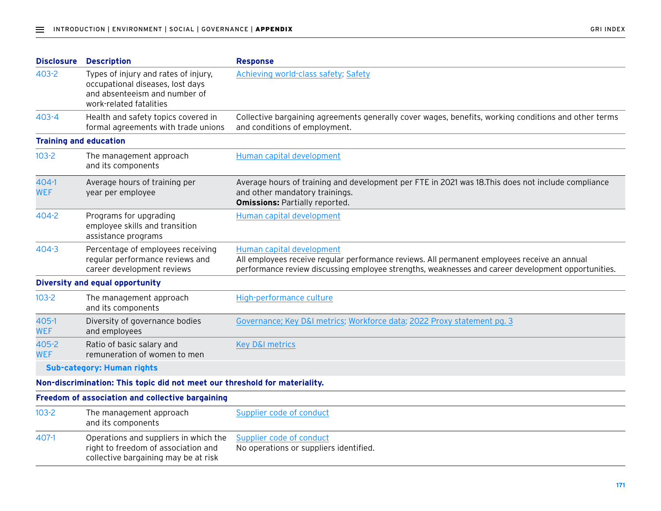| <b>Disclosure</b>             | <b>Description</b>                                                                                                                   | <b>Response</b>                                                                                                                                                                                                                 |  |
|-------------------------------|--------------------------------------------------------------------------------------------------------------------------------------|---------------------------------------------------------------------------------------------------------------------------------------------------------------------------------------------------------------------------------|--|
| $403 - 2$                     | Types of injury and rates of injury,<br>occupational diseases, lost days<br>and absenteeism and number of<br>work-related fatalities | Achieving world-class safety; Safety                                                                                                                                                                                            |  |
| $403 - 4$                     | Health and safety topics covered in<br>formal agreements with trade unions                                                           | Collective bargaining agreements generally cover wages, benefits, working conditions and other terms<br>and conditions of employment.                                                                                           |  |
| <b>Training and education</b> |                                                                                                                                      |                                                                                                                                                                                                                                 |  |
| $103 - 2$                     | The management approach<br>and its components                                                                                        | Human capital development                                                                                                                                                                                                       |  |
| 404-1<br><b>WEF</b>           | Average hours of training per<br>year per employee                                                                                   | Average hours of training and development per FTE in 2021 was 18. This does not include compliance<br>and other mandatory trainings.<br><b>Omissions: Partially reported.</b>                                                   |  |
| 404-2                         | Programs for upgrading<br>employee skills and transition<br>assistance programs                                                      | Human capital development                                                                                                                                                                                                       |  |
| 404-3                         | Percentage of employees receiving<br>regular performance reviews and<br>career development reviews                                   | Human capital development<br>All employees receive regular performance reviews. All permanent employees receive an annual<br>performance review discussing employee strengths, weaknesses and career development opportunities. |  |
|                               | Diversity and equal opportunity                                                                                                      |                                                                                                                                                                                                                                 |  |
| $103 - 2$                     | The management approach<br>and its components                                                                                        | High-performance culture                                                                                                                                                                                                        |  |
| 405-1<br><b>WEF</b>           | Diversity of governance bodies<br>and employees                                                                                      | Governance; Key D&I metrics; Workforce data; 2022 Proxy statement pg. 3                                                                                                                                                         |  |
| 405-2<br><b>WEF</b>           | Ratio of basic salary and<br>remuneration of women to men                                                                            | <b>Key D&amp;I metrics</b>                                                                                                                                                                                                      |  |
|                               | <b>Sub-category: Human rights</b>                                                                                                    |                                                                                                                                                                                                                                 |  |
|                               | Non-discrimination: This topic did not meet our threshold for materiality.                                                           |                                                                                                                                                                                                                                 |  |
|                               | Freedom of association and collective bargaining                                                                                     |                                                                                                                                                                                                                                 |  |
| $103 - 2$                     | The management approach<br>and its components                                                                                        | Supplier code of conduct                                                                                                                                                                                                        |  |
| 407-1                         | Operations and suppliers in which the<br>right to freedom of association and<br>collective bargaining may be at risk                 | Supplier code of conduct<br>No operations or suppliers identified.                                                                                                                                                              |  |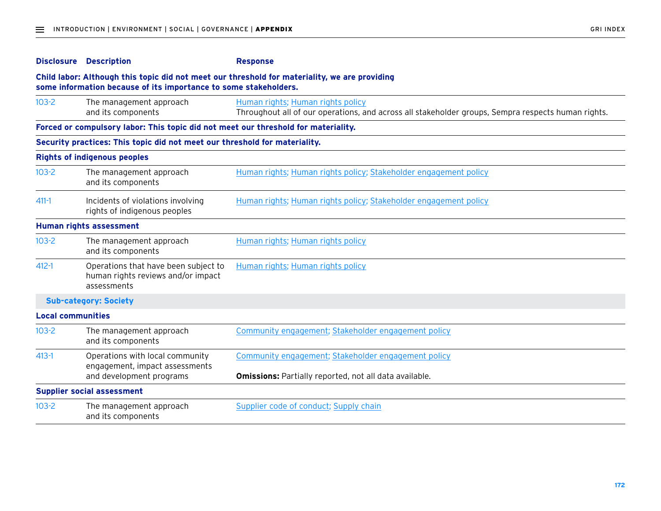|                                                                                                                                                                   | <b>Disclosure Description</b>                                                             | <b>Response</b>                                                                                                                         |  |
|-------------------------------------------------------------------------------------------------------------------------------------------------------------------|-------------------------------------------------------------------------------------------|-----------------------------------------------------------------------------------------------------------------------------------------|--|
| Child labor: Although this topic did not meet our threshold for materiality, we are providing<br>some information because of its importance to some stakeholders. |                                                                                           |                                                                                                                                         |  |
| $103 - 2$                                                                                                                                                         | The management approach<br>and its components                                             | Human rights; Human rights policy<br>Throughout all of our operations, and across all stakeholder groups, Sempra respects human rights. |  |
|                                                                                                                                                                   | Forced or compulsory labor: This topic did not meet our threshold for materiality.        |                                                                                                                                         |  |
|                                                                                                                                                                   | Security practices: This topic did not meet our threshold for materiality.                |                                                                                                                                         |  |
|                                                                                                                                                                   | <b>Rights of indigenous peoples</b>                                                       |                                                                                                                                         |  |
| $103 - 2$                                                                                                                                                         | The management approach<br>and its components                                             | Human rights; Human rights policy; Stakeholder engagement policy                                                                        |  |
| $411 - 1$                                                                                                                                                         | Incidents of violations involving<br>rights of indigenous peoples                         | Human rights; Human rights policy; Stakeholder engagement policy                                                                        |  |
|                                                                                                                                                                   | Human rights assessment                                                                   |                                                                                                                                         |  |
| $103 - 2$                                                                                                                                                         | The management approach<br>and its components                                             | Human rights; Human rights policy                                                                                                       |  |
| $412 - 1$                                                                                                                                                         | Operations that have been subject to<br>human rights reviews and/or impact<br>assessments | Human rights; Human rights policy                                                                                                       |  |
|                                                                                                                                                                   | <b>Sub-category: Society</b>                                                              |                                                                                                                                         |  |
| <b>Local communities</b>                                                                                                                                          |                                                                                           |                                                                                                                                         |  |
| $103 - 2$                                                                                                                                                         | The management approach<br>and its components                                             | Community engagement; Stakeholder engagement policy                                                                                     |  |
| $413 - 1$                                                                                                                                                         | Operations with local community<br>engagement, impact assessments                         | Community engagement; Stakeholder engagement policy                                                                                     |  |
|                                                                                                                                                                   | and development programs                                                                  | <b>Omissions: Partially reported, not all data available.</b>                                                                           |  |
|                                                                                                                                                                   | <b>Supplier social assessment</b>                                                         |                                                                                                                                         |  |
| $103 - 2$                                                                                                                                                         | The management approach<br>and its components                                             | Supplier code of conduct; Supply chain                                                                                                  |  |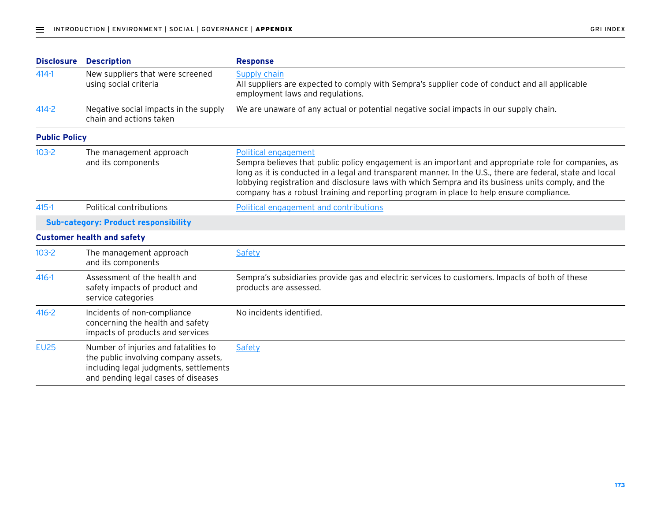| <b>Disclosure</b>    | <b>Description</b>                                                                                                                                            | <b>Response</b>                                                                                                                                                                                                                                                                                                                                                                                                                             |  |
|----------------------|---------------------------------------------------------------------------------------------------------------------------------------------------------------|---------------------------------------------------------------------------------------------------------------------------------------------------------------------------------------------------------------------------------------------------------------------------------------------------------------------------------------------------------------------------------------------------------------------------------------------|--|
| $414 - 1$            | New suppliers that were screened<br>using social criteria                                                                                                     | Supply chain<br>All suppliers are expected to comply with Sempra's supplier code of conduct and all applicable<br>employment laws and regulations.                                                                                                                                                                                                                                                                                          |  |
| $414 - 2$            | Negative social impacts in the supply<br>chain and actions taken                                                                                              | We are unaware of any actual or potential negative social impacts in our supply chain.                                                                                                                                                                                                                                                                                                                                                      |  |
| <b>Public Policy</b> |                                                                                                                                                               |                                                                                                                                                                                                                                                                                                                                                                                                                                             |  |
| $103 - 2$            | The management approach<br>and its components                                                                                                                 | Political engagement<br>Sempra believes that public policy engagement is an important and appropriate role for companies, as<br>long as it is conducted in a legal and transparent manner. In the U.S., there are federal, state and local<br>lobbying registration and disclosure laws with which Sempra and its business units comply, and the<br>company has a robust training and reporting program in place to help ensure compliance. |  |
| $415 - 1$            | <b>Political contributions</b>                                                                                                                                | Political engagement and contributions                                                                                                                                                                                                                                                                                                                                                                                                      |  |
|                      | <b>Sub-category: Product responsibility</b>                                                                                                                   |                                                                                                                                                                                                                                                                                                                                                                                                                                             |  |
|                      | <b>Customer health and safety</b>                                                                                                                             |                                                                                                                                                                                                                                                                                                                                                                                                                                             |  |
| $103 - 2$            | The management approach<br>and its components                                                                                                                 | Safety                                                                                                                                                                                                                                                                                                                                                                                                                                      |  |
| $416 - 1$            | Assessment of the health and<br>safety impacts of product and<br>service categories                                                                           | Sempra's subsidiaries provide gas and electric services to customers. Impacts of both of these<br>products are assessed.                                                                                                                                                                                                                                                                                                                    |  |
| $416 - 2$            | Incidents of non-compliance<br>concerning the health and safety<br>impacts of products and services                                                           | No incidents identified.                                                                                                                                                                                                                                                                                                                                                                                                                    |  |
| <b>EU25</b>          | Number of injuries and fatalities to<br>the public involving company assets,<br>including legal judgments, settlements<br>and pending legal cases of diseases | Safety                                                                                                                                                                                                                                                                                                                                                                                                                                      |  |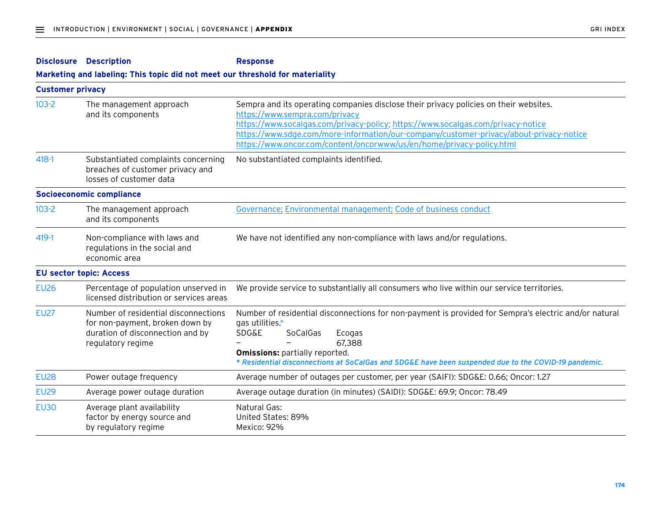|             | <b>Disclosure Description</b>                                                                                                    | <b>Response</b>                                                                                                                                                                                                                                                                                                                                                                 |  |  |  |
|-------------|----------------------------------------------------------------------------------------------------------------------------------|---------------------------------------------------------------------------------------------------------------------------------------------------------------------------------------------------------------------------------------------------------------------------------------------------------------------------------------------------------------------------------|--|--|--|
|             | Marketing and labeling: This topic did not meet our threshold for materiality                                                    |                                                                                                                                                                                                                                                                                                                                                                                 |  |  |  |
|             | <b>Customer privacy</b>                                                                                                          |                                                                                                                                                                                                                                                                                                                                                                                 |  |  |  |
| $103 - 2$   | The management approach<br>and its components                                                                                    | Sempra and its operating companies disclose their privacy policies on their websites.<br>https://www.sempra.com/privacy<br>https://www.socalgas.com/privacy-policy; https://www.socalgas.com/privacy-notice<br>https://www.sdge.com/more-information/our-company/customer-privacy/about-privacy-notice<br>https://www.oncor.com/content/oncorwww/us/en/home/privacy-policy.html |  |  |  |
| $418 - 1$   | Substantiated complaints concerning<br>breaches of customer privacy and<br>losses of customer data                               | No substantiated complaints identified.                                                                                                                                                                                                                                                                                                                                         |  |  |  |
|             | <b>Socioeconomic compliance</b>                                                                                                  |                                                                                                                                                                                                                                                                                                                                                                                 |  |  |  |
| $103 - 2$   | The management approach<br>and its components                                                                                    | Governance; Environmental management; Code of business conduct                                                                                                                                                                                                                                                                                                                  |  |  |  |
| 419-1       | Non-compliance with laws and<br>regulations in the social and<br>economic area                                                   | We have not identified any non-compliance with laws and/or regulations.                                                                                                                                                                                                                                                                                                         |  |  |  |
|             | <b>EU sector topic: Access</b>                                                                                                   |                                                                                                                                                                                                                                                                                                                                                                                 |  |  |  |
| <b>EU26</b> | Percentage of population unserved in<br>licensed distribution or services areas                                                  | We provide service to substantially all consumers who live within our service territories.                                                                                                                                                                                                                                                                                      |  |  |  |
| <b>EU27</b> | Number of residential disconnections<br>for non-payment, broken down by<br>duration of disconnection and by<br>regulatory regime | Number of residential disconnections for non-payment is provided for Sempra's electric and/or natural<br>gas utilities.*<br><b>SDG&amp;E</b><br>SoCalGas<br>Ecogas<br>67,388<br><b>Omissions: partially reported.</b><br>* Residential disconnections at SoCalGas and SDG&E have been suspended due to the COVID-19 pandemic.                                                   |  |  |  |
| <b>EU28</b> | Power outage frequency                                                                                                           | Average number of outages per customer, per year (SAIFI): SDG&E: 0.66; Oncor: 1.27                                                                                                                                                                                                                                                                                              |  |  |  |
| <b>EU29</b> | Average power outage duration                                                                                                    | Average outage duration (in minutes) (SAIDI): SDG&E: 69.9; Oncor: 78.49                                                                                                                                                                                                                                                                                                         |  |  |  |
| <b>EU30</b> | Average plant availability<br>factor by energy source and<br>by regulatory regime                                                | Natural Gas:<br>United States: 89%<br>Mexico: 92%                                                                                                                                                                                                                                                                                                                               |  |  |  |